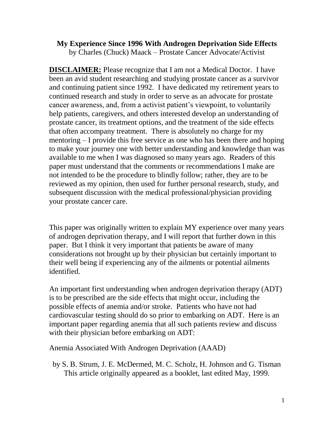#### **My Experience Since 1996 With Androgen Deprivation Side Effects** by Charles (Chuck) Maack – Prostate Cancer Advocate/Activist

**DISCLAIMER:** Please recognize that I am not a Medical Doctor. I have been an avid student researching and studying prostate cancer as a survivor and continuing patient since 1992. I have dedicated my retirement years to continued research and study in order to serve as an advocate for prostate cancer awareness, and, from a activist patient's viewpoint, to voluntarily help patients, caregivers, and others interested develop an understanding of prostate cancer, its treatment options, and the treatment of the side effects that often accompany treatment. There is absolutely no charge for my mentoring – I provide this free service as one who has been there and hoping to make your journey one with better understanding and knowledge than was available to me when I was diagnosed so many years ago. Readers of this paper must understand that the comments or recommendations I make are not intended to be the procedure to blindly follow; rather, they are to be reviewed as my opinion, then used for further personal research, study, and subsequent discussion with the medical professional/physician providing your prostate cancer care.

This paper was originally written to explain MY experience over many years of androgen deprivation therapy, and I will report that further down in this paper. But I think it very important that patients be aware of many considerations not brought up by their physician but certainly important to their well being if experiencing any of the ailments or potential ailments identified.

An important first understanding when androgen deprivation therapy (ADT) is to be prescribed are the side effects that might occur, including the possible effects of anemia and/or stroke. Patients who have not had cardiovascular testing should do so prior to embarking on ADT. Here is an important paper regarding anemia that all such patients review and discuss with their physician before embarking on ADT:

Anemia Associated With Androgen Deprivation (AAAD)

by S. B. Strum, J. E. McDermed, M. C. Scholz, H. Johnson and G. Tisman This article originally appeared as a booklet, last edited May, 1999.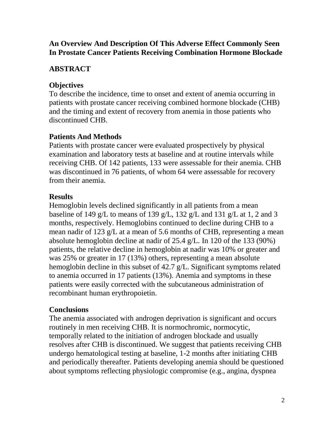## **An Overview And Description Of This Adverse Effect Commonly Seen In Prostate Cancer Patients Receiving Combination Hormone Blockade**

## **ABSTRACT**

## **Objectives**

To describe the incidence, time to onset and extent of anemia occurring in patients with prostate cancer receiving combined hormone blockade (CHB) and the timing and extent of recovery from anemia in those patients who discontinued CHB.

## **Patients And Methods**

Patients with prostate cancer were evaluated prospectively by physical examination and laboratory tests at baseline and at routine intervals while receiving CHB. Of 142 patients, 133 were assessable for their anemia. CHB was discontinued in 76 patients, of whom 64 were assessable for recovery from their anemia.

## **Results**

Hemoglobin levels declined significantly in all patients from a mean baseline of 149 g/L to means of 139 g/L, 132 g/L and 131 g/L at 1, 2 and 3 months, respectively. Hemoglobins continued to decline during CHB to a mean nadir of 123 g/L at a mean of 5.6 months of CHB, representing a mean absolute hemoglobin decline at nadir of 25.4 g/L. In 120 of the 133 (90%) patients, the relative decline in hemoglobin at nadir was 10% or greater and was 25% or greater in 17 (13%) others, representing a mean absolute hemoglobin decline in this subset of 42.7 g/L. Significant symptoms related to anemia occurred in 17 patients (13%). Anemia and symptoms in these patients were easily corrected with the subcutaneous administration of recombinant human erythropoietin.

## **Conclusions**

The anemia associated with androgen deprivation is significant and occurs routinely in men receiving CHB. It is normochromic, normocytic, temporally related to the initiation of androgen blockade and usually resolves after CHB is discontinued. We suggest that patients receiving CHB undergo hematological testing at baseline, 1-2 months after initiating CHB and periodically thereafter. Patients developing anemia should be questioned about symptoms reflecting physiologic compromise (e.g., angina, dyspnea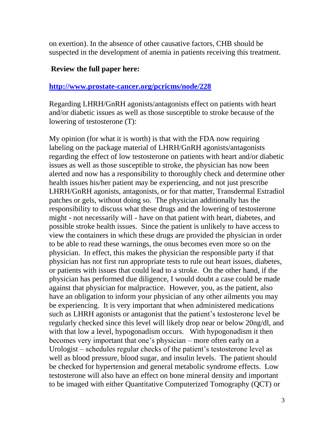on exertion). In the absence of other causative factors, CHB should be suspected in the development of anemia in patients receiving this treatment.

#### **Review the full paper here:**

#### **<http://www.prostate-cancer.org/pcricms/node/228>**

Regarding LHRH/GnRH agonists/antagonists effect on patients with heart and/or diabetic issues as well as those susceptible to stroke because of the lowering of testosterone (T):

My opinion (for what it is worth) is that with the FDA now requiring labeling on the package material of LHRH/GnRH agonists/antagonists regarding the effect of low testosterone on patients with heart and/or diabetic issues as well as those susceptible to stroke, the physician has now been alerted and now has a responsibility to thoroughly check and determine other health issues his/her patient may be experiencing, and not just prescribe LHRH/GnRH agonists, antagonists, or for that matter, Transdermal Estradiol patches or gels, without doing so. The physician additionally has the responsibility to discuss what these drugs and the lowering of testosterone might - not necessarily will - have on that patient with heart, diabetes, and possible stroke health issues. Since the patient is unlikely to have access to view the containers in which these drugs are provided the physician in order to be able to read these warnings, the onus becomes even more so on the physician. In effect, this makes the physician the responsible party if that physician has not first run appropriate tests to rule out heart issues, diabetes, or patients with issues that could lead to a stroke. On the other hand, if the physician has performed due diligence, I would doubt a case could be made against that physician for malpractice. However, you, as the patient, also have an obligation to inform your physician of any other ailments you may be experiencing. It is very important that when administered medications such as LHRH agonists or antagonist that the patient's testosterone level be regularly checked since this level will likely drop near or below 20ng/dl, and with that low a level, hypogonadism occurs. With hypogonadism it then becomes very important that one's physician – more often early on a Urologist – schedules regular checks of the patient's testosterone level as well as blood pressure, blood sugar, and insulin levels. The patient should be checked for hypertension and general metabolic syndrome effects. Low testosterone will also have an effect on bone mineral density and important to be imaged with either Quantitative Computerized Tomography (QCT) or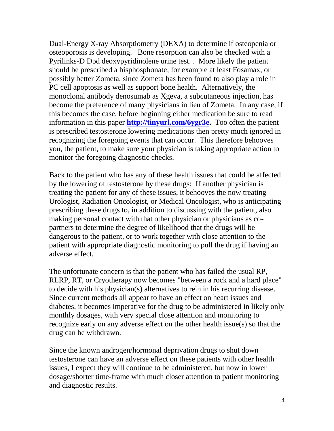Dual-Energy X-ray Absorptiometry (DEXA) to determine if osteopenia or osteoporosis is developing. Bone resorption can also be checked with a Pyrilinks-D Dpd deoxypyridinolene urine test. . More likely the patient should be prescribed a bisphosphonate, for example at least Fosamax, or possibly better Zometa, since Zometa has been found to also play a role in PC cell apoptosis as well as support bone health. Alternatively, the monoclonal antibody denosumab as Xgeva, a subcutaneous injection, has become the preference of many physicians in lieu of Zometa. In any case, if this becomes the case, before beginning either medication be sure to read information in this paper **[http://tinyurl.com/6ygr3e.](http://tinyurl.com/6ygr3e)** Too often the patient is prescribed testosterone lowering medications then pretty much ignored in recognizing the foregoing events that can occur. This therefore behooves you, the patient, to make sure your physician is taking appropriate action to monitor the foregoing diagnostic checks.

Back to the patient who has any of these health issues that could be affected by the lowering of testosterone by these drugs: If another physician is treating the patient for any of these issues, it behooves the now treating Urologist, Radiation Oncologist, or Medical Oncologist, who is anticipating prescribing these drugs to, in addition to discussing with the patient, also making personal contact with that other physician or physicians as copartners to determine the degree of likelihood that the drugs will be dangerous to the patient, or to work together with close attention to the patient with appropriate diagnostic monitoring to pull the drug if having an adverse effect.

The unfortunate concern is that the patient who has failed the usual RP, RLRP, RT, or Cryotherapy now becomes "between a rock and a hard place" to decide with his physician(s) alternatives to rein in his recurring disease. Since current methods all appear to have an effect on heart issues and diabetes, it becomes imperative for the drug to be administered in likely only monthly dosages, with very special close attention and monitoring to recognize early on any adverse effect on the other health issue(s) so that the drug can be withdrawn.

Since the known androgen/hormonal deprivation drugs to shut down testosterone can have an adverse effect on these patients with other health issues, I expect they will continue to be administered, but now in lower dosage/shorter time-frame with much closer attention to patient monitoring and diagnostic results.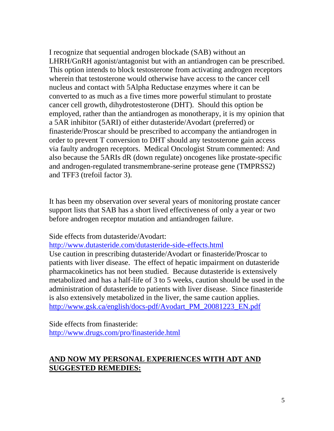I recognize that sequential androgen blockade (SAB) without an LHRH/GnRH agonist/antagonist but with an antiandrogen can be prescribed. This option intends to block testosterone from activating androgen receptors wherein that testosterone would otherwise have access to the cancer cell nucleus and contact with 5Alpha Reductase enzymes where it can be converted to as much as a five times more powerful stimulant to prostate cancer cell growth, dihydrotestosterone (DHT). Should this option be employed, rather than the antiandrogen as monotherapy, it is my opinion that a 5AR inhibitor (5ARI) of either dutasteride/Avodart (preferred) or finasteride/Proscar should be prescribed to accompany the antiandrogen in order to prevent T conversion to DHT should any testosterone gain access via faulty androgen receptors. Medical Oncologist Strum commented: And also because the 5ARIs dR (down regulate) oncogenes like prostate-specific and androgen-regulated transmembrane-serine protease gene (TMPRSS2) and TFF3 (trefoil factor 3).

It has been my observation over several years of monitoring prostate cancer support lists that SAB has a short lived effectiveness of only a year or two before androgen receptor mutation and antiandrogen failure.

Side effects from dutasteride/Avodart:

<http://www.dutasteride.com/dutasteride-side-effects.html>

Use caution in prescribing dutasteride/Avodart or finasteride/Proscar to patients with liver disease. The effect of hepatic impairment on dutasteride pharmacokinetics has not been studied. Because dutasteride is extensively metabolized and has a half-life of 3 to 5 weeks, caution should be used in the administration of dutasteride to patients with liver disease. Since finasteride is also extensively metabolized in the liver, the same caution applies. [http://www.gsk.ca/english/docs-pdf/Avodart\\_PM\\_20081223\\_EN.pdf](http://www.gsk.ca/english/docs-pdf/Avodart_PM_20081223_EN.pdf)

Side effects from finasteride: <http://www.drugs.com/pro/finasteride.html>

## **AND NOW MY PERSONAL EXPERIENCES WITH ADT AND SUGGESTED REMEDIES:**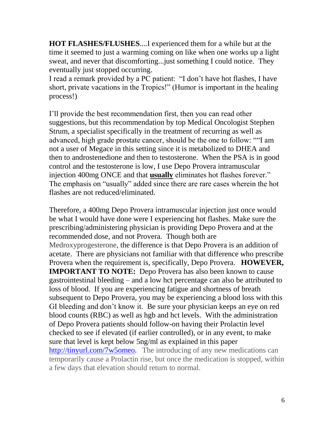**HOT FLASHES/FLUSHES**....I experienced them for a while but at the time it seemed to just a warming coming on like when one works up a light sweat, and never that discomforting...just something I could notice. They eventually just stopped occurring.

I read a remark provided by a PC patient: "I don't have hot flashes, I have short, private vacations in the Tropics!" (Humor is important in the healing process!)

I'll provide the best recommendation first, then you can read other suggestions, but this recommendation by top Medical Oncologist Stephen Strum, a specialist specifically in the treatment of recurring as well as advanced, high grade prostate cancer, should be the one to follow: ""I am not a user of Megace in this setting since it is metabolized to DHEA and then to androstenedione and then to testosterone. When the PSA is in good control and the testosterone is low, I use Depo Provera intramuscular injection 400mg ONCE and that **usually** eliminates hot flashes forever." The emphasis on "usually" added since there are rare cases wherein the hot flashes are not reduced/eliminated.

Therefore, a 400mg Depo Provera intramuscular injection just once would be what I would have done were I experiencing hot flashes. Make sure the prescribing/administering physician is providing Depo Provera and at the recommended dose, and not Provera. Though both are Medroxyprogesterone, the difference is that Depo Provera is an addition of acetate. There are physicians not familiar with that difference who prescribe Provera when the requirement is, specifically, Depo Provera. **HOWEVER, IMPORTANT TO NOTE:** Depo Provera has also been known to cause gastrointestinal bleeding – and a low hct percentage can also be attributed to loss of blood. If you are experiencing fatigue and shortness of breath subsequent to Depo Provera, you may be experiencing a blood loss with this GI bleeding and don't know it. Be sure your physician keeps an eye on red blood counts (RBC) as well as hgb and hct levels. With the administration of Depo Provera patients should follow-on having their Prolactin level checked to see if elevated (if earlier controlled), or in any event, to make sure that level is kept below 5ng/ml as explained in this paper <http://tinyurl.com/7w5omeo>**.** The introducing of any new medications can temporarily cause a Prolactin rise, but once the medication is stopped, within a few days that elevation should return to normal.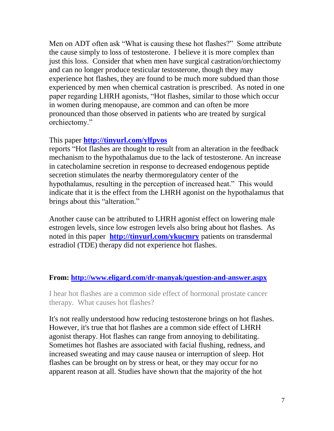Men on ADT often ask "What is causing these hot flashes?" Some attribute the cause simply to loss of testosterone. I believe it is more complex than just this loss. Consider that when men have surgical castration/orchiectomy and can no longer produce testicular testosterone, though they may experience hot flashes, they are found to be much more subdued than those experienced by men when chemical castration is prescribed. As noted in one paper regarding LHRH agonists, "Hot flashes, similar to those which occur in women during menopause, are common and can often be more pronounced than those observed in patients who are treated by surgical orchiectomy."

#### This paper **<http://tinyurl.com/ylfpvos>**

reports "Hot flashes are thought to result from an alteration in the feedback mechanism to the hypothalamus due to the lack of testosterone. An increase in catecholamine secretion in response to decreased endogenous peptide secretion stimulates the nearby thermoregulatory center of the hypothalamus, resulting in the perception of increased heat." This would indicate that it is the effect from the LHRH agonist on the hypothalamus that brings about this "alteration."

Another cause can be attributed to LHRH agonist effect on lowering male estrogen levels, since low estrogen levels also bring about hot flashes. As noted in this paper **<http://tinyurl.com/ykucmry>** patients on transdermal estradiol (TDE) therapy did not experience hot flashes.

#### **From:<http://www.eligard.com/dr-manyak/question-and-answer.aspx>**

I hear hot flashes are a common side effect of hormonal prostate cancer therapy. What causes hot flashes?

It's not really understood how reducing testosterone brings on hot flashes. However, it's true that hot flashes are a common side effect of LHRH agonist therapy. Hot flashes can range from annoying to debilitating. Sometimes hot flashes are associated with facial flushing, redness, and increased sweating and may cause nausea or interruption of sleep. Hot flashes can be brought on by stress or heat, or they may occur for no apparent reason at all. Studies have shown that the majority of the hot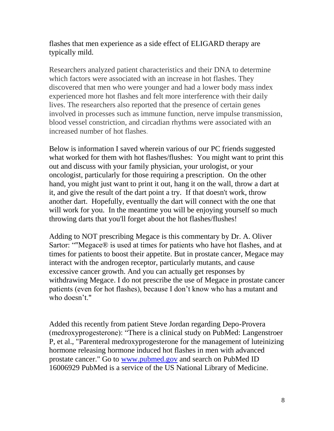flashes that men experience as a side effect of ELIGARD therapy are typically mild.

Researchers analyzed patient characteristics and their DNA to determine which factors were associated with an increase in hot flashes. They discovered that men who were younger and had a lower body mass index experienced more hot flashes and felt more interference with their daily lives. The researchers also reported that the presence of certain genes involved in processes such as immune function, nerve impulse transmission, blood vessel constriction, and circadian rhythms were associated with an increased number of hot flashes.

Below is information I saved wherein various of our PC friends suggested what worked for them with hot flashes/flushes: You might want to print this out and discuss with your family physician, your urologist, or your oncologist, particularly for those requiring a prescription. On the other hand, you might just want to print it out, hang it on the wall, throw a dart at it, and give the result of the dart point a try. If that doesn't work, throw another dart. Hopefully, eventually the dart will connect with the one that will work for you. In the meantime you will be enjoying yourself so much throwing darts that you'll forget about the hot flashes/flushes!

Adding to NOT prescribing Megace is this commentary by Dr. A. Oliver Sartor: ""Megace® is used at times for patients who have hot flashes, and at times for patients to boost their appetite. But in prostate cancer, Megace may interact with the androgen receptor, particularly mutants, and cause excessive cancer growth. And you can actually get responses by withdrawing Megace. I do not prescribe the use of Megace in prostate cancer patients (even for hot flashes), because I don't know who has a mutant and who doesn't."

Added this recently from patient Steve Jordan regarding Depo-Provera (medroxyprogesterone): "There is a clinical study on PubMed: Langenstroer P, et al., "Parenteral medroxyprogesterone for the management of luteinizing hormone releasing hormone induced hot flashes in men with advanced prostate cancer." Go to [www.pubmed.gov](http://www.pubmed.gov/) and search on PubMed ID 16006929 PubMed is a service of the US National Library of Medicine.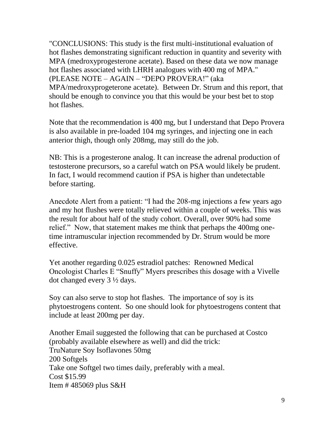"CONCLUSIONS: This study is the first multi-institutional evaluation of hot flashes demonstrating significant reduction in quantity and severity with MPA (medroxyprogesterone acetate). Based on these data we now manage hot flashes associated with LHRH analogues with 400 mg of MPA." (PLEASE NOTE – AGAIN – "DEPO PROVERA!" (aka MPA/medroxyprogeterone acetate). Between Dr. Strum and this report, that should be enough to convince you that this would be your best bet to stop hot flashes.

Note that the recommendation is 400 mg, but I understand that Depo Provera is also available in pre-loaded 104 mg syringes, and injecting one in each anterior thigh, though only 208mg, may still do the job.

NB: This is a progesterone analog. It can increase the adrenal production of testosterone precursors, so a careful watch on PSA would likely be prudent. In fact, I would recommend caution if PSA is higher than undetectable before starting.

Anecdote Alert from a patient: "I had the 208-mg injections a few years ago and my hot flushes were totally relieved within a couple of weeks. This was the result for about half of the study cohort. Overall, over 90% had some relief." Now, that statement makes me think that perhaps the 400mg onetime intramuscular injection recommended by Dr. Strum would be more effective.

Yet another regarding 0.025 estradiol patches: Renowned Medical Oncologist Charles E "Snuffy" Myers prescribes this dosage with a Vivelle dot changed every 3 ½ days.

Soy can also serve to stop hot flashes. The importance of soy is its phytoestrogens content. So one should look for phytoestrogens content that include at least 200mg per day.

Another Email suggested the following that can be purchased at Costco (probably available elsewhere as well) and did the trick: TruNature Soy Isoflavones 50mg 200 Softgels Take one Softgel two times daily, preferably with a meal. Cost \$15.99 Item  $\#$  485069 plus S&H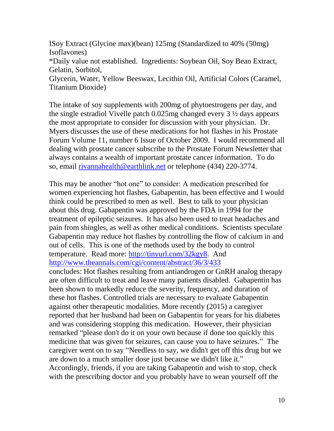ISoy Extract (Glycine max)(bean) 125mg (Standardized to 40% (50mg) Isoflavones) \*Daily value not established. Ingredients: Soybean Oil, Soy Bean Extract, Gelatin, Sorbitol,

Glycerin, Water, Yellow Beeswax, Lecithin Oil, Artificial Colors (Caramel, Titanium Dioxide)

The intake of soy supplements with 200mg of phytoestrogens per day, and the single estradiol Vivelle patch 0.025mg changed every 3 ½ days appears the most appropriate to consider for discussion with your physician. Dr. Myers discusses the use of these medications for hot flashes in his Prostate Forum Volume 11, number 6 Issue of October 2009. I would recommend all dealing with prostate cancer subscribe to the Prostate Forum Newsletter that always contains a wealth of important prostate cancer information. To do so, email [rivannahealth@earthlink.net](mailto:rivannahealth@earthlink.net) or telephone (434) 220-3774.

This may be another "hot one" to consider: A medication prescribed for women experiencing hot flashes, Gabapentin, has been effective and I would think could be prescribed to men as well. Best to talk to your physician about this drug. Gabapentin was approved by the FDA in 1994 for the treatment of epileptic seizures. It has also been used to treat headaches and pain from shingles, as well as other medical conditions. Scientists speculate Gabapentin may reduce hot flashes by controlling the flow of calcium in and out of cells. This is one of the methods used by the body to control temperature. Read more: [http://tinyurl.com/32kgy8.](http://tinyurl.com/32kgy8) And <http://www.theannals.com/cgi/content/abstract/36/3/433> concludes: Hot flashes resulting from antiandrogen or GnRH analog therapy are often difficult to treat and leave many patients disabled. Gabapentin has been shown to markedly reduce the severity, frequency, and duration of these hot flashes. Controlled trials are necessary to evaluate Gabapentin against other therapeutic modalities. More recently (2015) a caregiver reported that her husband had been on Gabapentin for years for his diabetes and was considering stopping this medication. However, their physician remarked "please don't do it on your own because if done too quickly this medicine that was given for seizures, can cause you to have seizures." The caregiver went on to say "Needless to say, we didn't get off this drug but we are down to a much smaller dose just because we didn't like it." Accordingly, friends, if you are taking Gabapentin and wish to stop, check with the prescribing doctor and you probably have to wean yourself off the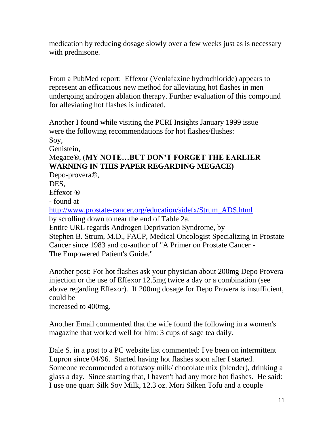medication by reducing dosage slowly over a few weeks just as is necessary with prednisone.

From a PubMed report: Effexor (Venlafaxine hydrochloride) appears to represent an efficacious new method for alleviating hot flashes in men undergoing androgen ablation therapy. Further evaluation of this compound for alleviating hot flashes is indicated.

Another I found while visiting the PCRI Insights January 1999 issue were the following recommendations for hot flashes/flushes: Soy, Genistein, Megace®, (**MY NOTE…BUT DON'T FORGET THE EARLIER** 

# **WARNING IN THIS PAPER REGARDING MEGACE)**

Depo-provera®, DES,

Effexor ®

- found at

[http://www.prostate-cancer.org/education/sidefx/Strum\\_ADS.html](http://www.prostate-cancer.org/education/sidefx/Strum_ADS.html) by scrolling down to near the end of Table 2a.

Entire URL regards Androgen Deprivation Syndrome, by Stephen B. Strum, M.D., FACP, Medical Oncologist Specializing in Prostate Cancer since 1983 and co-author of "A Primer on Prostate Cancer - The Empowered Patient's Guide."

Another post: For hot flashes ask your physician about 200mg Depo Provera injection or the use of Effexor 12.5mg twice a day or a combination (see above regarding Effexor). If 200mg dosage for Depo Provera is insufficient, could be

increased to 400mg.

Another Email commented that the wife found the following in a women's magazine that worked well for him: 3 cups of sage tea daily.

Dale S. in a post to a PC website list commented: I've been on intermittent Lupron since 04/96. Started having hot flashes soon after I started. Someone recommended a tofu/soy milk/ chocolate mix (blender), drinking a glass a day. Since starting that, I haven't had any more hot flashes. He said: I use one quart Silk Soy Milk, 12.3 oz. Mori Silken Tofu and a couple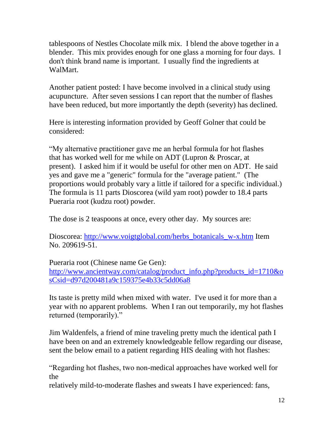tablespoons of Nestles Chocolate milk mix. I blend the above together in a blender. This mix provides enough for one glass a morning for four days. I don't think brand name is important. I usually find the ingredients at WalMart.

Another patient posted: I have become involved in a clinical study using acupuncture. After seven sessions I can report that the number of flashes have been reduced, but more importantly the depth (severity) has declined.

Here is interesting information provided by Geoff Golner that could be considered:

"My alternative practitioner gave me an herbal formula for hot flashes that has worked well for me while on ADT (Lupron & Proscar, at present). I asked him if it would be useful for other men on ADT. He said yes and gave me a "generic" formula for the "average patient." (The proportions would probably vary a little if tailored for a specific individual.) The formula is 11 parts Dioscorea (wild yam root) powder to 18.4 parts Pueraria root (kudzu root) powder.

The dose is 2 teaspoons at once, every other day. My sources are:

Dioscorea: [http://www.voigtglobal.com/herbs\\_botanicals\\_w-x.htm](http://www.voigtglobal.com/herbs_botanicals_w-x.htm) Item No. 209619-51.

Pueraria root (Chinese name Ge Gen):

[http://www.ancientway.com/catalog/product\\_info.php?products\\_id=1710&o](http://www.ancientway.com/catalog/product_info.php?products_id=1710&osCsid=d97d200481a9c159375e4b33c5dd06a8) [sCsid=d97d200481a9c159375e4b33c5dd06a8](http://www.ancientway.com/catalog/product_info.php?products_id=1710&osCsid=d97d200481a9c159375e4b33c5dd06a8)

Its taste is pretty mild when mixed with water. I've used it for more than a year with no apparent problems. When I ran out temporarily, my hot flashes returned (temporarily)."

Jim Waldenfels, a friend of mine traveling pretty much the identical path I have been on and an extremely knowledgeable fellow regarding our disease, sent the below email to a patient regarding HIS dealing with hot flashes:

"Regarding hot flashes, two non-medical approaches have worked well for the

relatively mild-to-moderate flashes and sweats I have experienced: fans,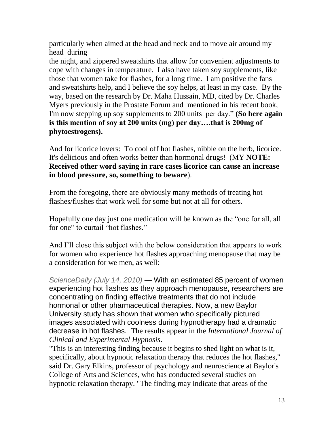particularly when aimed at the head and neck and to move air around my head during

the night, and zippered sweatshirts that allow for convenient adjustments to cope with changes in temperature. I also have taken soy supplements, like those that women take for flashes, for a long time. I am positive the fans and sweatshirts help, and I believe the soy helps, at least in my case. By the way, based on the research by Dr. Maha Hussain, MD, cited by Dr. Charles Myers previously in the Prostate Forum and mentioned in his recent book, I'm now stepping up soy supplements to 200 units per day." **(So here again is this mention of soy at 200 units (mg) per day….that is 200mg of phytoestrogens).**

And for licorice lovers: To cool off hot flashes, nibble on the herb, licorice. It's delicious and often works better than hormonal drugs! (MY **NOTE: Received other word saying in rare cases licorice can cause an increase in blood pressure, so, something to beware**).

From the foregoing, there are obviously many methods of treating hot flashes/flushes that work well for some but not at all for others.

Hopefully one day just one medication will be known as the "one for all, all for one" to curtail "hot flashes."

And I'll close this subject with the below consideration that appears to work for women who experience hot flashes approaching menopause that may be a consideration for we men, as well:

*ScienceDaily (July 14, 2010)* — With an estimated 85 percent of women experiencing hot flashes as they approach menopause, researchers are concentrating on finding effective treatments that do not include hormonal or other pharmaceutical therapies. Now, a new Baylor University study has shown that women who specifically pictured images associated with coolness during hypnotherapy had a dramatic decrease in hot flashes. The results appear in the *International Journal of Clinical and Experimental Hypnosis*.

"This is an interesting finding because it begins to shed light on what is it, specifically, about hypnotic relaxation therapy that reduces the hot flashes," said Dr. Gary Elkins, professor of psychology and neuroscience at Baylor's College of Arts and Sciences, who has conducted several studies on hypnotic relaxation therapy. "The finding may indicate that areas of the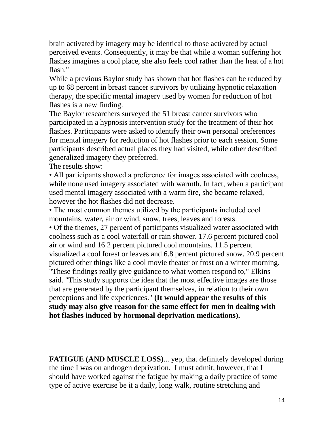brain activated by imagery may be identical to those activated by actual perceived events. Consequently, it may be that while a woman suffering hot flashes imagines a cool place, she also feels cool rather than the heat of a hot flash."

While a previous Baylor study has shown that hot flashes can be reduced by up to 68 percent in breast cancer survivors by utilizing hypnotic relaxation therapy, the specific mental imagery used by women for reduction of hot flashes is a new finding.

The Baylor researchers surveyed the 51 breast cancer survivors who participated in a hypnosis intervention study for the treatment of their hot flashes. Participants were asked to identify their own personal preferences for mental imagery for reduction of hot flashes prior to each session. Some participants described actual places they had visited, while other described generalized imagery they preferred.

The results show:

• All participants showed a preference for images associated with coolness, while none used imagery associated with warmth. In fact, when a participant used mental imagery associated with a warm fire, she became relaxed, however the hot flashes did not decrease.

• The most common themes utilized by the participants included cool mountains, water, air or wind, snow, trees, leaves and forests.

• Of the themes, 27 percent of participants visualized water associated with coolness such as a cool waterfall or rain shower. 17.6 percent pictured cool air or wind and 16.2 percent pictured cool mountains. 11.5 percent visualized a cool forest or leaves and 6.8 percent pictured snow. 20.9 percent pictured other things like a cool movie theater or frost on a winter morning.

"These findings really give guidance to what women respond to," Elkins said. "This study supports the idea that the most effective images are those that are generated by the participant themselves, in relation to their own perceptions and life experiences." **(It would appear the results of this study may also give reason for the same effect for men in dealing with hot flashes induced by hormonal deprivation medications).**

**FATIGUE (AND MUSCLE LOSS)**... yep, that definitely developed during the time I was on androgen deprivation. I must admit, however, that I should have worked against the fatigue by making a daily practice of some type of active exercise be it a daily, long walk, routine stretching and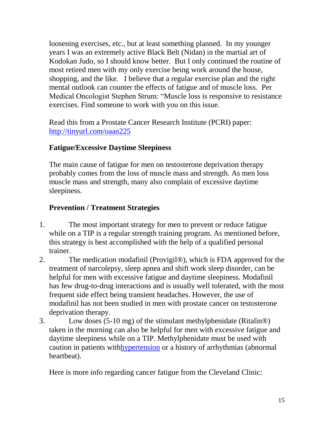loosening exercises, etc., but at least something planned. In my younger years I was an extremely active Black Belt (Nidan) in the martial art of Kodokan Judo, so I should know better. But I only continued the routine of most retired men with my only exercise being work around the house, shopping, and the like. I believe that a regular exercise plan and the right mental outlook can counter the effects of fatigue and of muscle loss. Per Medical Oncologist Stephen Strum: "Muscle loss is responsive to resistance exercises. Find someone to work with you on this issue.

Read this from a Prostate Cancer Research Institute (PCRI) paper: <http://tinyurl.com/oaan225>

## **Fatigue/Excessive Daytime Sleepiness**

The main cause of fatigue for men on testosterone deprivation therapy probably comes from the loss of muscle mass and strength. As men loss muscle mass and strength, many also complain of excessive daytime sleepiness.

## **Prevention / Treatment Strategies**

- 1. The most important strategy for men to prevent or reduce fatigue while on a TIP is a regular strength training program. As mentioned before, this strategy is best accomplished with the help of a qualified personal trainer.
- 2. The medication modafinil (Provigil®), which is FDA approved for the treatment of narcolepsy, sleep apnea and shift work sleep disorder, can be helpful for men with excessive fatigue and daytime sleepiness. Modafinil has few drug-to-drug interactions and is usually well tolerated, with the most frequent side effect being transient headaches. However, the use of modafinil has not been studied in men with prostate cancer on testosterone deprivation therapy.
- 3. Low doses (5-10 mg) of the stimulant methylphenidate (Ritalin®) taken in the morning can also be helpful for men with excessive fatigue and daytime sleepiness while on a TIP. Methylphenidate must be used with caution in patients wit[hhypertension](http://prostate-cancer.org/glossary-h/#hypertension) or a history of arrhythmias (abnormal heartbeat).

Here is more info regarding cancer fatigue from the Cleveland Clinic: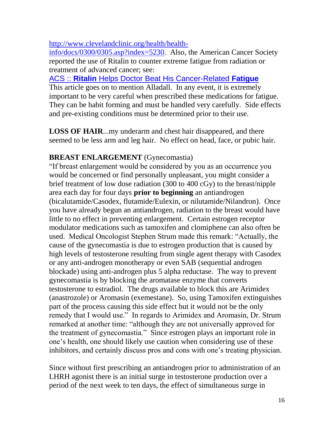#### [http://www.clevelandclinic.org/health/health-](http://www.clevelandclinic.org/health/health-info/docs/0300/0305.asp?index=5230)

[info/docs/0300/0305.asp?index=5230.](http://www.clevelandclinic.org/health/health-info/docs/0300/0305.asp?index=5230) Also, the American Cancer Society reported the use of Ritalin to counter extreme fatigue from radiation or treatment of advanced cancer; see:

ACS :: **Ritalin** [Helps Doctor Beat His Cancer-Related](http://www.cancer.org/docroot/NWS/content/NWS_1_1x_Ritalin_Helps_Doctor_Beat_His_Cancer-Related_Fatigue.asp) **Fatigue** This article goes on to mention Alladall. In any event, it is extremely important to be very careful when prescribed these medications for fatigue. They can be habit forming and must be handled very carefully. Side effects and pre-existing conditions must be determined prior to their use.

**LOSS OF HAIR**...my underarm and chest hair disappeared, and there seemed to be less arm and leg hair. No effect on head, face, or pubic hair.

## **BREAST ENLARGEMENT** (Gynecomastia)

"If breast enlargement would be considered by you as an occurrence you would be concerned or find personally unpleasant, you might consider a brief treatment of low dose radiation (300 to 400 cGy) to the breast/nipple area each day for four days **prior to beginning** an antiandrogen (bicalutamide/Casodex, flutamide/Eulexin, or nilutamide/Nilandron). Once you have already begun an antiandrogen, radiation to the breast would have little to no effect in preventing enlargement. Certain estrogen receptor modulator medications such as tamoxifen and clomiphene can also often be used. Medical Oncologist Stephen Strum made this remark: "Actually, the cause of the gynecomastia is due to estrogen production that is caused by high levels of testosterone resulting from single agent therapy with Casodex or any anti-androgen monotherapy or even SAB (sequential androgen blockade) using anti-androgen plus 5 alpha reductase. The way to prevent gynecomastia is by blocking the aromatase enzyme that converts testosterone to estradiol. The drugs available to block this are Arimidex (anastrozole) or Aromasin (exemestane). So, using Tamoxifen extinguishes part of the process causing this side effect but it would not be the only remedy that I would use." In regards to Arimidex and Aromasin, Dr. Strum remarked at another time: "although they are not universally approved for the treatment of gynecomastia." Since estrogen plays an important role in one's health, one should likely use caution when considering use of these inhibitors, and certainly discuss pros and cons with one's treating physician.

Since without first prescribing an antiandrogen prior to administration of an LHRH agonist there is an initial surge in testosterone production over a period of the next week to ten days, the effect of simultaneous surge in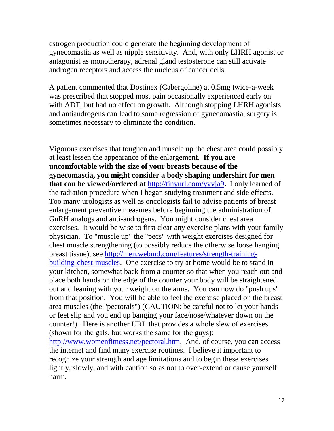estrogen production could generate the beginning development of gynecomastia as well as nipple sensitivity. And, with only LHRH agonist or antagonist as monotherapy, adrenal gland testosterone can still activate androgen receptors and access the nucleus of cancer cells

A patient commented that Dostinex (Cabergoline) at 0.5mg twice-a-week was prescribed that stopped most pain occasionally experienced early on with ADT, but had no effect on growth. Although stopping LHRH agonists and antiandrogens can lead to some regression of gynecomastia, surgery is sometimes necessary to eliminate the condition.

Vigorous exercises that toughen and muscle up the chest area could possibly at least lessen the appearance of the enlargement. **If you are uncomfortable with the size of your breasts because of the gynecomastia, you might consider a body shaping undershirt for men that can be viewed/ordered at** <http://tinyurl.com/yvvja9>**.** I only learned of the radiation procedure when I began studying treatment and side effects. Too many urologists as well as oncologists fail to advise patients of breast enlargement preventive measures before beginning the administration of GnRH analogs and anti-androgens. You might consider chest area exercises. It would be wise to first clear any exercise plans with your family physician. To "muscle up" the "pecs" with weight exercises designed for chest muscle strengthening (to possibly reduce the otherwise loose hanging breast tissue), see [http://men.webmd.com/features/strength-training](http://men.webmd.com/features/strength-training-building-chest-muscles)[building-chest-muscles.](http://men.webmd.com/features/strength-training-building-chest-muscles) One exercise to try at home would be to stand in your kitchen, somewhat back from a counter so that when you reach out and place both hands on the edge of the counter your body will be straightened out and leaning with your weight on the arms. You can now do "push ups" from that position. You will be able to feel the exercise placed on the breast area muscles (the "pectorals") (CAUTION: be careful not to let your hands or feet slip and you end up banging your face/nose/whatever down on the counter!). Here is another URL that provides a whole slew of exercises (shown for the gals, but works the same for the guys): [http://www.womenfitness.net/pectoral.htm.](http://www.womenfitness.net/pectoral.htm) And, of course, you can access the internet and find many exercise routines. I believe it important to recognize your strength and age limitations and to begin these exercises lightly, slowly, and with caution so as not to over-extend or cause yourself

harm.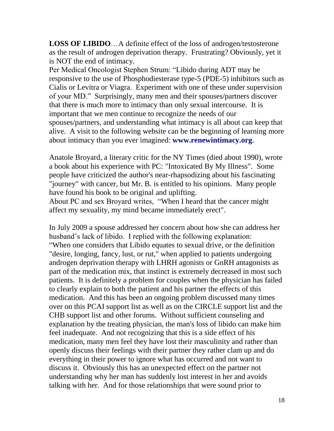**LOSS OF LIBIDO**…A definite effect of the loss of androgen/testosterone as the result of androgen deprivation therapy. Frustrating? Obviously, yet it is NOT the end of intimacy.

Per Medical Oncologist Stephen Strum: "Libido during ADT may be responsive to the use of Phosphodiesterase type-5 (PDE-5) inhibitors such as Cialis or Levitra or Viagra. Experiment with one of these under supervision of your MD." Surprisingly, many men and their spouses/partners discover that there is much more to intimacy than only sexual intercourse. It is important that we men continue to recognize the needs of our spouses/partners, and understanding what intimacy is all about can keep that alive. A visit to the following website can be the beginning of learning more about intimacy than you ever imagined: **[www.renewintimacy.org](http://www.renewintimacy.org/)**.

Anatole Broyard, a literary critic for the NY Times (died about 1990), wrote a book about his experience with PC: "Intoxicated By My Illness". Some people have criticized the author's near-rhapsodizing about his fascinating "journey" with cancer, but Mr. B. is entitled to his opinions. Many people have found his book to be original and uplifting.

About PC and sex Broyard writes, "When I heard that the cancer might affect my sexuality, my mind became immediately erect".

In July 2009 a spouse addressed her concern about how she can address her husband's lack of libido. I replied with the following explanation: "When one considers that Libido equates to sexual drive, or the definition "desire, longing, fancy, lust, or rut," when applied to patients undergoing androgen deprivation therapy with LHRH agonists or GnRH antagonists as part of the medication mix, that instinct is extremely decreased in most such patients. It is definitely a problem for couples when the physician has failed to clearly explain to both the patient and his partner the effects of this medication. And this has been an ongoing problem discussed many times over on this PCAI support list as well as on the CIRCLE support list and the CHB support list and other forums. Without sufficient counseling and explanation by the treating physician, the man's loss of libido can make him feel inadequate. And not recognizing that this is a side effect of his medication, many men feel they have lost their masculinity and rather than openly discuss their feelings with their partner they rather clam up and do everything in their power to ignore what has occurred and not want to discuss it. Obviously this has an unexpected effect on the partner not understanding why her man has suddenly lost interest in her and avoids talking with her. And for those relationships that were sound prior to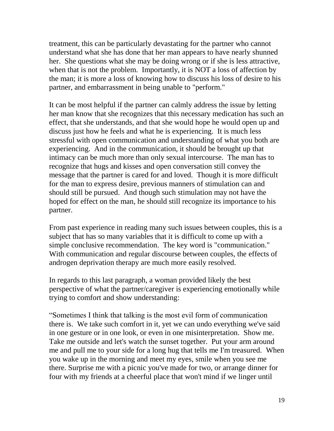treatment, this can be particularly devastating for the partner who cannot understand what she has done that her man appears to have nearly shunned her. She questions what she may be doing wrong or if she is less attractive, when that is not the problem. Importantly, it is NOT a loss of affection by the man; it is more a loss of knowing how to discuss his loss of desire to his partner, and embarrassment in being unable to "perform."

It can be most helpful if the partner can calmly address the issue by letting her man know that she recognizes that this necessary medication has such an effect, that she understands, and that she would hope he would open up and discuss just how he feels and what he is experiencing. It is much less stressful with open communication and understanding of what you both are experiencing. And in the communication, it should be brought up that intimacy can be much more than only sexual intercourse. The man has to recognize that hugs and kisses and open conversation still convey the message that the partner is cared for and loved. Though it is more difficult for the man to express desire, previous manners of stimulation can and should still be pursued. And though such stimulation may not have the hoped for effect on the man, he should still recognize its importance to his partner.

From past experience in reading many such issues between couples, this is a subject that has so many variables that it is difficult to come up with a simple conclusive recommendation. The key word is "communication." With communication and regular discourse between couples, the effects of androgen deprivation therapy are much more easily resolved.

In regards to this last paragraph, a woman provided likely the best perspective of what the partner/caregiver is experiencing emotionally while trying to comfort and show understanding:

"Sometimes I think that talking is the most evil form of communication there is. We take such comfort in it, yet we can undo everything we've said in one gesture or in one look, or even in one misinterpretation. Show me. Take me outside and let's watch the sunset together. Put your arm around me and pull me to your side for a long hug that tells me I'm treasured. When you wake up in the morning and meet my eyes, smile when you see me there. Surprise me with a picnic you've made for two, or arrange dinner for four with my friends at a cheerful place that won't mind if we linger until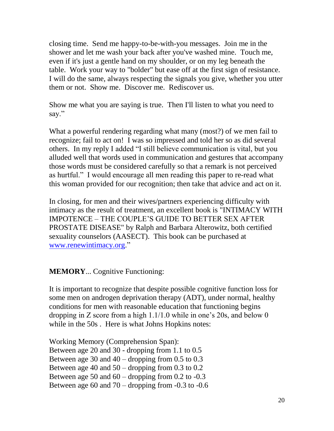closing time. Send me happy-to-be-with-you messages. Join me in the shower and let me wash your back after you've washed mine. Touch me, even if it's just a gentle hand on my shoulder, or on my leg beneath the table. Work your way to "bolder" but ease off at the first sign of resistance. I will do the same, always respecting the signals you give, whether you utter them or not. Show me. Discover me. Rediscover us.

Show me what you are saying is true. Then I'll listen to what you need to say."

What a powerful rendering regarding what many (most?) of we men fail to recognize; fail to act on! I was so impressed and told her so as did several others. In my reply I added "I still believe communication is vital, but you alluded well that words used in communication and gestures that accompany those words must be considered carefully so that a remark is not perceived as hurtful." I would encourage all men reading this paper to re-read what this woman provided for our recognition; then take that advice and act on it.

In closing, for men and their wives/partners experiencing difficulty with intimacy as the result of treatment, an excellent book is "INTIMACY WITH IMPOTENCE – THE COUPLE'S GUIDE TO BETTER SEX AFTER PROSTATE DISEASE" by Ralph and Barbara Alterowitz, both certified sexuality counselors (AASECT). This book can be purchased at [www.renewintimacy.org.](http://www.renewintimacy.org/)"

## **MEMORY**... Cognitive Functioning:

It is important to recognize that despite possible cognitive function loss for some men on androgen deprivation therapy (ADT), under normal, healthy conditions for men with reasonable education that functioning begins dropping in Z score from a high 1.1/1.0 while in one's 20s, and below 0 while in the 50s. Here is what Johns Hopkins notes:

Working Memory (Comprehension Span): Between age 20 and 30 - dropping from 1.1 to 0.5 Between age 30 and  $40 -$  dropping from 0.5 to 0.3 Between age 40 and  $50 -$  dropping from 0.3 to 0.2 Between age 50 and  $60 -$  dropping from 0.2 to  $-0.3$ Between age 60 and 70 – dropping from -0.3 to -0.6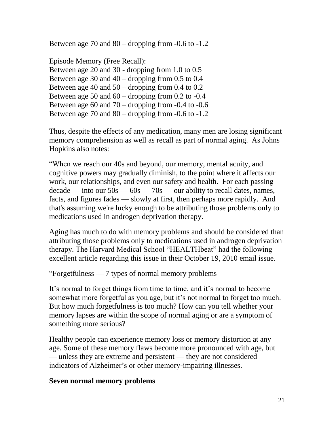Between age 70 and  $80 -$  dropping from  $-0.6$  to  $-1.2$ 

Episode Memory (Free Recall): Between age 20 and 30 - dropping from 1.0 to 0.5 Between age 30 and  $40 -$  dropping from 0.5 to 0.4 Between age 40 and 50 – dropping from 0.4 to 0.2 Between age 50 and  $60 -$ dropping from 0.2 to  $-0.4$ Between age 60 and  $70 -$  dropping from  $-0.4$  to  $-0.6$ Between age 70 and  $80 -$  dropping from  $-0.6$  to  $-1.2$ 

Thus, despite the effects of any medication, many men are losing significant memory comprehension as well as recall as part of normal aging. As Johns Hopkins also notes:

"When we reach our 40s and beyond, our memory, mental acuity, and cognitive powers may gradually diminish, to the point where it affects our work, our relationships, and even our safety and health. For each passing  $\text{decade}$  — into our  $50s$  —  $60s$  —  $70s$  — our ability to recall dates, names, facts, and figures fades — slowly at first, then perhaps more rapidly. And that's assuming we're lucky enough to be attributing those problems only to medications used in androgen deprivation therapy.

Aging has much to do with memory problems and should be considered than attributing those problems only to medications used in androgen deprivation therapy. The Harvard Medical School "HEALTHbeat" had the following excellent article regarding this issue in their October 19, 2010 email issue.

"Forgetfulness — 7 types of normal memory problems

It's normal to forget things from time to time, and it's normal to become somewhat more forgetful as you age, but it's not normal to forget too much. But how much forgetfulness is too much? How can you tell whether your memory lapses are within the scope of normal aging or are a symptom of something more serious?

Healthy people can experience memory loss or memory distortion at any age. Some of these memory flaws become more pronounced with age, but — unless they are extreme and persistent — they are not considered indicators of Alzheimer's or other memory-impairing illnesses.

## **Seven normal memory problems**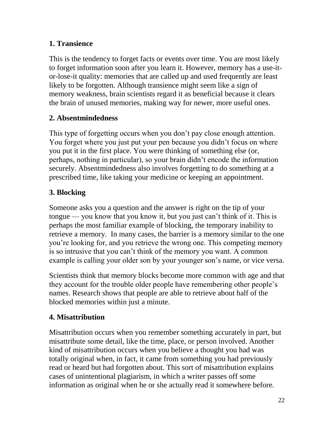## **1. Transience**

This is the tendency to forget facts or events over time. You are most likely to forget information soon after you learn it. However, memory has a use-itor-lose-it quality: memories that are called up and used frequently are least likely to be forgotten. Although transience might seem like a sign of memory weakness, brain scientists regard it as beneficial because it clears the brain of unused memories, making way for newer, more useful ones.

## **2. Absentmindedness**

This type of forgetting occurs when you don't pay close enough attention. You forget where you just put your pen because you didn't focus on where you put it in the first place. You were thinking of something else (or, perhaps, nothing in particular), so your brain didn't encode the information securely. Absentmindedness also involves forgetting to do something at a prescribed time, like taking your medicine or keeping an appointment.

# **3. Blocking**

Someone asks you a question and the answer is right on the tip of your tongue — you know that you know it, but you just can't think of it. This is perhaps the most familiar example of blocking, the temporary inability to retrieve a memory. In many cases, the barrier is a memory similar to the one you're looking for, and you retrieve the wrong one. This competing memory is so intrusive that you can't think of the memory you want. A common example is calling your older son by your younger son's name, or vice versa.

Scientists think that memory blocks become more common with age and that they account for the trouble older people have remembering other people's names. Research shows that people are able to retrieve about half of the blocked memories within just a minute.

## **4. Misattribution**

Misattribution occurs when you remember something accurately in part, but misattribute some detail, like the time, place, or person involved. Another kind of misattribution occurs when you believe a thought you had was totally original when, in fact, it came from something you had previously read or heard but had forgotten about. This sort of misattribution explains cases of unintentional plagiarism, in which a writer passes off some information as original when he or she actually read it somewhere before.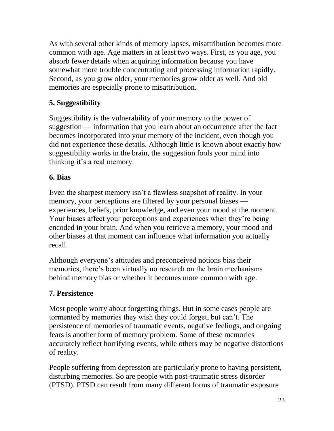As with several other kinds of memory lapses, misattribution becomes more common with age. Age matters in at least two ways. First, as you age, you absorb fewer details when acquiring information because you have somewhat more trouble concentrating and processing information rapidly. Second, as you grow older, your memories grow older as well. And old memories are especially prone to misattribution.

# **5. Suggestibility**

Suggestibility is the vulnerability of your memory to the power of suggestion — information that you learn about an occurrence after the fact becomes incorporated into your memory of the incident, even though you did not experience these details. Although little is known about exactly how suggestibility works in the brain, the suggestion fools your mind into thinking it's a real memory.

# **6. Bias**

Even the sharpest memory isn't a flawless snapshot of reality. In your memory, your perceptions are filtered by your personal biases experiences, beliefs, prior knowledge, and even your mood at the moment. Your biases affect your perceptions and experiences when they're being encoded in your brain. And when you retrieve a memory, your mood and other biases at that moment can influence what information you actually recall.

Although everyone's attitudes and preconceived notions bias their memories, there's been virtually no research on the brain mechanisms behind memory bias or whether it becomes more common with age.

## **7. Persistence**

Most people worry about forgetting things. But in some cases people are tormented by memories they wish they could forget, but can't. The persistence of memories of traumatic events, negative feelings, and ongoing fears is another form of memory problem. Some of these memories accurately reflect horrifying events, while others may be negative distortions of reality.

People suffering from depression are particularly prone to having persistent, disturbing memories. So are people with post-traumatic stress disorder (PTSD). PTSD can result from many different forms of traumatic exposure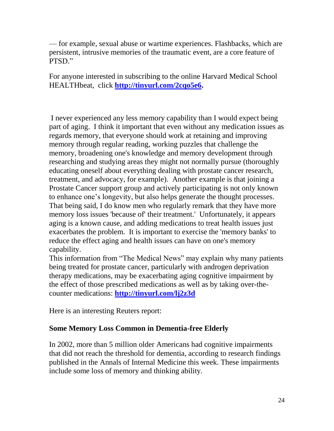— for example, sexual abuse or wartime experiences. Flashbacks, which are persistent, intrusive memories of the traumatic event, are a core feature of PTSD."

For anyone interested in subscribing to the online Harvard Medical School HEALTHbeat, click **[http://tinyurl.com/2cqo5e6.](http://tinyurl.com/2cqo5e6)**

I never experienced any less memory capability than I would expect being part of aging. I think it important that even without any medication issues as regards memory, that everyone should work at retaining and improving memory through regular reading, working puzzles that challenge the memory, broadening one's knowledge and memory development through researching and studying areas they might not normally pursue (thoroughly educating oneself about everything dealing with prostate cancer research, treatment, and advocacy, for example). Another example is that joining a Prostate Cancer support group and actively participating is not only known to enhance one's longevity, but also helps generate the thought processes. That being said, I do know men who regularly remark that they have more memory loss issues 'because of' their treatment.' Unfortunately, it appears aging is a known cause, and adding medications to treat health issues just exacerbates the problem. It is important to exercise the 'memory banks' to reduce the effect aging and health issues can have on one's memory capability.

This information from "The Medical News" may explain why many patients being treated for prostate cancer, particularly with androgen deprivation therapy medications, may be exacerbating aging cognitive impairment by the effect of those prescribed medications as well as by taking over-thecounter medications: **<http://tinyurl.com/lj2z3d>**

Here is an interesting Reuters report:

## **Some Memory Loss Common in Dementia-free Elderly**

In 2002, more than 5 million older Americans had cognitive impairments that did not reach the threshold for dementia, according to research findings published in the Annals of Internal Medicine this week. These impairments include some loss of memory and thinking ability.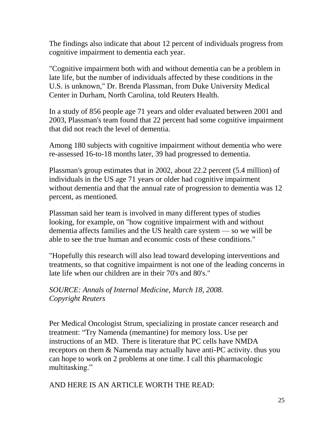The findings also indicate that about 12 percent of individuals progress from cognitive impairment to dementia each year.

"Cognitive impairment both with and without dementia can be a problem in late life, but the number of individuals affected by these conditions in the U.S. is unknown," Dr. Brenda Plassman, from Duke University Medical Center in Durham, North Carolina, told Reuters Health.

In a study of 856 people age 71 years and older evaluated between 2001 and 2003, Plassman's team found that 22 percent had some cognitive impairment that did not reach the level of dementia.

Among 180 subjects with cognitive impairment without dementia who were re-assessed 16-to-18 months later, 39 had progressed to dementia.

Plassman's group estimates that in 2002, about 22.2 percent (5.4 million) of individuals in the US age 71 years or older had cognitive impairment without dementia and that the annual rate of progression to dementia was 12 percent, as mentioned.

Plassman said her team is involved in many different types of studies looking, for example, on "how cognitive impairment with and without dementia affects families and the US health care system — so we will be able to see the true human and economic costs of these conditions."

"Hopefully this research will also lead toward developing interventions and treatments, so that cognitive impairment is not one of the leading concerns in late life when our children are in their 70's and 80's."

*SOURCE: Annals of Internal Medicine, March 18, 2008. Copyright Reuters*

Per Medical Oncologist Strum, specializing in prostate cancer research and treatment: "Try Namenda (memantine) for memory loss. Use per instructions of an MD. There is literature that PC cells have NMDA receptors on them & Namenda may actually have anti-PC activity. thus you can hope to work on 2 problems at one time. I call this pharmacologic multitasking."

AND HERE IS AN ARTICLE WORTH THE READ: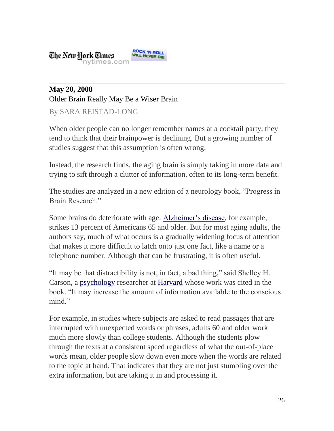#### **ROCK 'N ROLL<br>WILL NEVER DIE** The New Hork Times nytimes.com

# **May 20, 2008** Older Brain Really May Be a Wiser Brain

By SARA REISTAD-LONG

When older people can no longer remember names at a cocktail party, they tend to think that their brainpower is declining. But a growing number of studies suggest that this assumption is often wrong.

Instead, the research finds, the aging brain is simply taking in more data and trying to sift through a clutter of information, often to its long-term benefit.

The studies are analyzed in a new edition of a neurology book, "Progress in Brain Research."

Some brains do deteriorate with age. [Alzheimer's disease,](http://health.nytimes.com/health/guides/disease/alzheimers-disease/overview.html?inline=nyt-classifier) for example, strikes 13 percent of Americans 65 and older. But for most aging adults, the authors say, much of what occurs is a gradually widening focus of attention that makes it more difficult to latch onto just one fact, like a name or a telephone number. Although that can be frustrating, it is often useful.

"It may be that distractibility is not, in fact, a bad thing," said Shelley H. Carson, a [psychology](http://topics.nytimes.com/top/news/health/diseasesconditionsandhealthtopics/psychology_and_psychologists/index.html?inline=nyt-classifier) researcher at [Harvard](http://topics.nytimes.com/top/reference/timestopics/organizations/h/harvard_university/index.html?inline=nyt-org) whose work was cited in the book. "It may increase the amount of information available to the conscious mind."

For example, in studies where subjects are asked to read passages that are interrupted with unexpected words or phrases, adults 60 and older work much more slowly than college students. Although the students plow through the texts at a consistent speed regardless of what the out-of-place words mean, older people slow down even more when the words are related to the topic at hand. That indicates that they are not just stumbling over the extra information, but are taking it in and processing it.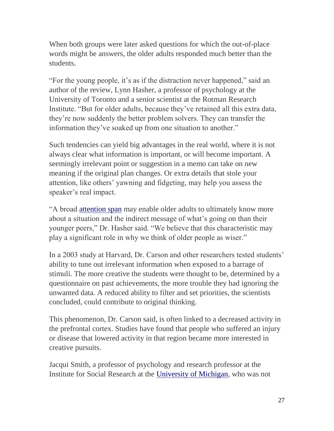When both groups were later asked questions for which the out-of-place words might be answers, the older adults responded much better than the students.

"For the young people, it's as if the distraction never happened," said an author of the review, Lynn Hasher, a professor of psychology at the University of Toronto and a senior scientist at the Rotman Research Institute. "But for older adults, because they've retained all this extra data, they're now suddenly the better problem solvers. They can transfer the information they've soaked up from one situation to another."

Such tendencies can yield big advantages in the real world, where it is not always clear what information is important, or will become important. A seemingly irrelevant point or suggestion in a memo can take on new meaning if the original plan changes. Or extra details that stole your attention, like others' yawning and fidgeting, may help you assess the speaker's real impact.

"A broad [attention span](http://health.nytimes.com/health/guides/test/mental-status-tests/overview.html?inline=nyt-classifier) may enable older adults to ultimately know more about a situation and the indirect message of what's going on than their younger peers," Dr. Hasher said. "We believe that this characteristic may play a significant role in why we think of older people as wiser."

In a 2003 study at Harvard, Dr. Carson and other researchers tested students' ability to tune out irrelevant information when exposed to a barrage of stimuli. The more creative the students were thought to be, determined by a questionnaire on past achievements, the more trouble they had ignoring the unwanted data. A reduced ability to filter and set priorities, the scientists concluded, could contribute to original thinking.

This phenomenon, Dr. Carson said, is often linked to a decreased activity in the prefrontal cortex. Studies have found that people who suffered an injury or disease that lowered activity in that region became more interested in creative pursuits.

Jacqui Smith, a professor of psychology and research professor at the Institute for Social Research at the [University of Michigan,](http://topics.nytimes.com/top/reference/timestopics/organizations/u/university_of_michigan/index.html?inline=nyt-org) who was not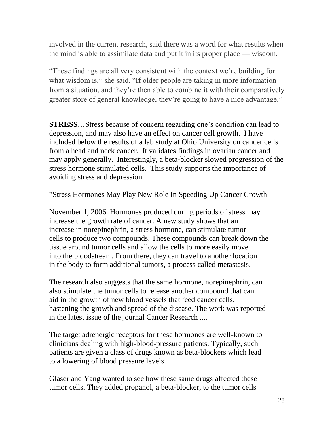involved in the current research, said there was a word for what results when the mind is able to assimilate data and put it in its proper place — wisdom.

"These findings are all very consistent with the context we're building for what wisdom is," she said. "If older people are taking in more information from a situation, and they're then able to combine it with their comparatively greater store of general knowledge, they're going to have a nice advantage."

**STRESS**…Stress because of concern regarding one's condition can lead to depression, and may also have an effect on cancer cell growth. I have included below the results of a lab study at Ohio University on cancer cells from a head and neck cancer. It validates findings in ovarian cancer and may apply generally. Interestingly, a beta-blocker slowed progression of the stress hormone stimulated cells. This study supports the importance of avoiding stress and depression

"Stress Hormones May Play New Role In Speeding Up Cancer Growth

November 1, 2006. Hormones produced during periods of stress may increase the growth rate of cancer. A new study shows that an increase in norepinephrin, a stress hormone, can stimulate tumor cells to produce two compounds. These compounds can break down the tissue around tumor cells and allow the cells to more easily move into the bloodstream. From there, they can travel to another location in the body to form additional tumors, a process called metastasis.

The research also suggests that the same hormone, norepinephrin, can also stimulate the tumor cells to release another compound that can aid in the growth of new blood vessels that feed cancer cells, hastening the growth and spread of the disease. The work was reported in the latest issue of the journal Cancer Research ....

The target adrenergic receptors for these hormones are well-known to clinicians dealing with high-blood-pressure patients. Typically, such patients are given a class of drugs known as beta-blockers which lead to a lowering of blood pressure levels.

Glaser and Yang wanted to see how these same drugs affected these tumor cells. They added propanol, a beta-blocker, to the tumor cells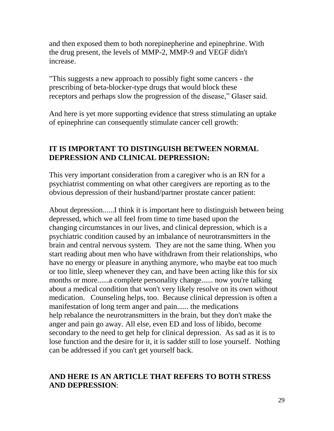and then exposed them to both norepinepherine and epinephrine. With the drug present, the levels of MMP-2, MMP-9 and VEGF didn't increase.

"This suggests a new approach to possibly fight some cancers - the prescribing of beta-blocker-type drugs that would block these receptors and perhaps slow the progression of the disease," Glaser said.

And here is yet more supporting evidence that stress stimulating an uptake of epinephrine can consequently stimulate cancer cell growth:

## **IT IS IMPORTANT TO DISTINGUISH BETWEEN NORMAL DEPRESSION AND CLINICAL DEPRESSION:**

This very important consideration from a caregiver who is an RN for a psychiatrist commenting on what other caregivers are reporting as to the obvious depression of their husband/partner prostate cancer patient:

About depression......I think it is important here to distinguish between being depressed, which we all feel from time to time based upon the changing circumstances in our lives, and clinical depression, which is a psychiatric condition caused by an imbalance of neurotransmitters in the brain and central nervous system. They are not the same thing. When you start reading about men who have withdrawn from their relationships, who have no energy or pleasure in anything anymore, who maybe eat too much or too little, sleep whenever they can, and have been acting like this for six months or more......a complete personality change...... now you're talking about a medical condition that won't very likely resolve on its own without medication. Counseling helps, too. Because clinical depression is often a manifestation of long term anger and pain...... the medications help rebalance the neurotransmitters in the brain, but they don't make the anger and pain go away. All else, even ED and loss of libido, become secondary to the need to get help for clinical depression. As sad as it is to lose function and the desire for it, it is sadder still to lose yourself. Nothing can be addressed if you can't get yourself back.

#### **AND HERE IS AN ARTICLE THAT REFERS TO BOTH STRESS AND DEPRESSION**: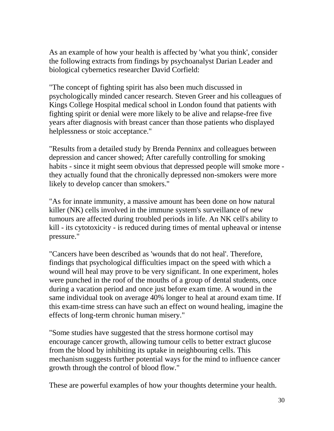As an example of how your health is affected by 'what you think', consider the following extracts from findings by psychoanalyst Darian Leader and biological cybernetics researcher David Corfield:

"The concept of fighting spirit has also been much discussed in psychologically minded cancer research. Steven Greer and his colleagues of Kings College Hospital medical school in London found that patients with fighting spirit or denial were more likely to be alive and relapse-free five years after diagnosis with breast cancer than those patients who displayed helplessness or stoic acceptance."

"Results from a detailed study by Brenda Penninx and colleagues between depression and cancer showed; After carefully controlling for smoking habits - since it might seem obvious that depressed people will smoke more they actually found that the chronically depressed non-smokers were more likely to develop cancer than smokers."

"As for innate immunity, a massive amount has been done on how natural killer (NK) cells involved in the immune system's surveillance of new tumours are affected during troubled periods in life. An NK cell's ability to kill - its cytotoxicity - is reduced during times of mental upheaval or intense pressure."

"Cancers have been described as 'wounds that do not heal'. Therefore, findings that psychological difficulties impact on the speed with which a wound will heal may prove to be very significant. In one experiment, holes were punched in the roof of the mouths of a group of dental students, once during a vacation period and once just before exam time. A wound in the same individual took on average 40% longer to heal at around exam time. If this exam-time stress can have such an effect on wound healing, imagine the effects of long-term chronic human misery."

"Some studies have suggested that the stress hormone cortisol may encourage cancer growth, allowing tumour cells to better extract glucose from the blood by inhibiting its uptake in neighbouring cells. This mechanism suggests further potential ways for the mind to influence cancer growth through the control of blood flow."

These are powerful examples of how your thoughts determine your health.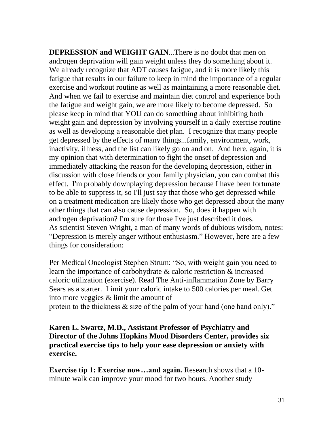**DEPRESSION and WEIGHT GAIN**...There is no doubt that men on androgen deprivation will gain weight unless they do something about it. We already recognize that ADT causes fatigue, and it is more likely this fatigue that results in our failure to keep in mind the importance of a regular exercise and workout routine as well as maintaining a more reasonable diet. And when we fail to exercise and maintain diet control and experience both the fatigue and weight gain, we are more likely to become depressed. So please keep in mind that YOU can do something about inhibiting both weight gain and depression by involving yourself in a daily exercise routine as well as developing a reasonable diet plan. I recognize that many people get depressed by the effects of many things...family, environment, work, inactivity, illness, and the list can likely go on and on. And here, again, it is my opinion that with determination to fight the onset of depression and immediately attacking the reason for the developing depression, either in discussion with close friends or your family physician, you can combat this effect. I'm probably downplaying depression because I have been fortunate to be able to suppress it, so I'll just say that those who get depressed while on a treatment medication are likely those who get depressed about the many other things that can also cause depression. So, does it happen with androgen deprivation? I'm sure for those I've just described it does. As scientist Steven Wright, a man of many words of dubious wisdom, notes: "Depression is merely anger without enthusiasm." However, here are a few things for consideration:

Per Medical Oncologist Stephen Strum: "So, with weight gain you need to learn the importance of carbohydrate & caloric restriction & increased caloric utilization (exercise). Read The Anti-inflammation Zone by Barry Sears as a starter. Limit your caloric intake to 500 calories per meal. Get into more veggies & limit the amount of

protein to the thickness & size of the palm of your hand (one hand only)."

**Karen L. Swartz, M.D., Assistant Professor of Psychiatry and Director of the Johns Hopkins Mood Disorders Center, provides six practical exercise tips to help your ease depression or anxiety with exercise.**

**Exercise tip 1: Exercise now…and again.** Research shows that a 10 minute walk can improve your mood for two hours. Another study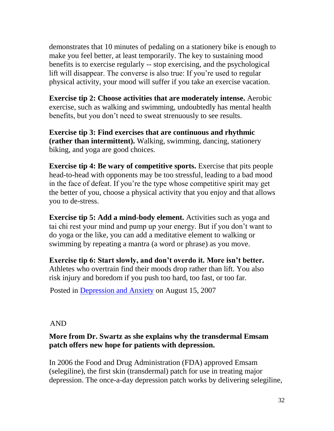demonstrates that 10 minutes of pedaling on a stationery bike is enough to make you feel better, at least temporarily. The key to sustaining mood benefits is to exercise regularly -- stop exercising, and the psychological lift will disappear. The converse is also true: If you're used to regular physical activity, your mood will suffer if you take an exercise vacation.

**Exercise tip 2: Choose activities that are moderately intense.** Aerobic exercise, such as walking and swimming, undoubtedly has mental health benefits, but you don't need to sweat strenuously to see results.

**Exercise tip 3: Find exercises that are continuous and rhythmic (rather than intermittent).** Walking, swimming, dancing, stationery biking, and yoga are good choices.

**Exercise tip 4: Be wary of competitive sports.** Exercise that pits people head-to-head with opponents may be too stressful, leading to a bad mood in the face of defeat. If you're the type whose competitive spirit may get the better of you, choose a physical activity that you enjoy and that allows you to de-stress.

**Exercise tip 5: Add a mind-body element.** Activities such as yoga and tai chi rest your mind and pump up your energy. But if you don't want to do yoga or the like, you can add a meditative element to walking or swimming by repeating a mantra (a word or phrase) as you move.

**Exercise tip 6: Start slowly, and don't overdo it. More isn't better.** Athletes who overtrain find their moods drop rather than lift. You also risk injury and boredom if you push too hard, too fast, or too far.

Posted in [Depression and Anxiety](http://www.johnshopkinshealthalerts.com/alerts/depression_anxiety/) on August 15, 2007

## AND

## **More from Dr. Swartz as she explains why the transdermal Emsam patch offers new hope for patients with depression.**

In 2006 the Food and Drug Administration (FDA) approved Emsam (selegiline), the first skin (transdermal) patch for use in treating major depression. The once-a-day depression patch works by delivering selegiline,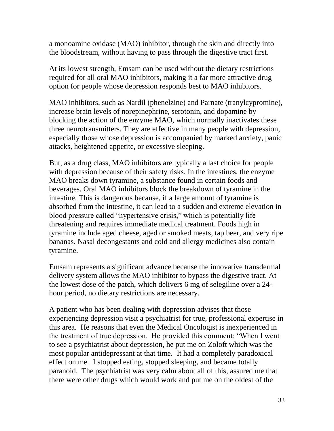a monoamine oxidase (MAO) inhibitor, through the skin and directly into the bloodstream, without having to pass through the digestive tract first.

At its lowest strength, Emsam can be used without the dietary restrictions required for all oral MAO inhibitors, making it a far more attractive drug option for people whose depression responds best to MAO inhibitors.

MAO inhibitors, such as Nardil (phenelzine) and Parnate (tranylcypromine), increase brain levels of norepinephrine, serotonin, and dopamine by blocking the action of the enzyme MAO, which normally inactivates these three neurotransmitters. They are effective in many people with depression, especially those whose depression is accompanied by marked anxiety, panic attacks, heightened appetite, or excessive sleeping.

But, as a drug class, MAO inhibitors are typically a last choice for people with depression because of their safety risks. In the intestines, the enzyme MAO breaks down tyramine, a substance found in certain foods and beverages. Oral MAO inhibitors block the breakdown of tyramine in the intestine. This is dangerous because, if a large amount of tyramine is absorbed from the intestine, it can lead to a sudden and extreme elevation in blood pressure called "hypertensive crisis," which is potentially life threatening and requires immediate medical treatment. Foods high in tyramine include aged cheese, aged or smoked meats, tap beer, and very ripe bananas. Nasal decongestants and cold and allergy medicines also contain tyramine.

Emsam represents a significant advance because the innovative transdermal delivery system allows the MAO inhibitor to bypass the digestive tract. At the lowest dose of the patch, which delivers 6 mg of selegiline over a 24 hour period, no dietary restrictions are necessary.

A patient who has been dealing with depression advises that those experiencing depression visit a psychiatrist for true, professional expertise in this area. He reasons that even the Medical Oncologist is inexperienced in the treatment of true depression. He provided this comment: "When I went to see a psychiatrist about depression, he put me on Zoloft which was the most popular antidepressant at that time. It had a completely paradoxical effect on me. I stopped eating, stopped sleeping, and became totally paranoid. The psychiatrist was very calm about all of this, assured me that there were other drugs which would work and put me on the oldest of the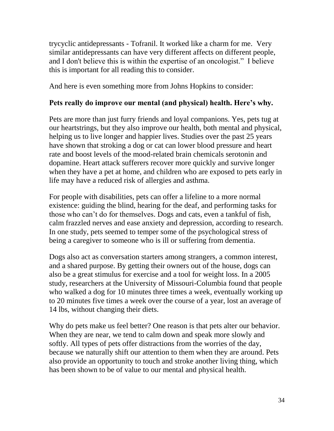trycyclic antidepressants - Tofranil. It worked like a charm for me. Very similar antidepressants can have very different affects on different people, and I don't believe this is within the expertise of an oncologist." I believe this is important for all reading this to consider.

And here is even something more from Johns Hopkins to consider:

#### **Pets really do improve our mental (and physical) health. Here's why.**

Pets are more than just furry friends and loyal companions. Yes, pets tug at our heartstrings, but they also improve our health, both mental and physical, helping us to live longer and happier lives. Studies over the past 25 years have shown that stroking a dog or cat can lower blood pressure and heart rate and boost levels of the mood-related brain chemicals serotonin and dopamine. Heart attack sufferers recover more quickly and survive longer when they have a pet at home, and children who are exposed to pets early in life may have a reduced risk of allergies and asthma.

For people with disabilities, pets can offer a lifeline to a more normal existence: guiding the blind, hearing for the deaf, and performing tasks for those who can't do for themselves. Dogs and cats, even a tankful of fish, calm frazzled nerves and ease anxiety and depression, according to research. In one study, pets seemed to temper some of the psychological stress of being a caregiver to someone who is ill or suffering from dementia.

Dogs also act as conversation starters among strangers, a common interest, and a shared purpose. By getting their owners out of the house, dogs can also be a great stimulus for exercise and a tool for weight loss. In a 2005 study, researchers at the University of Missouri-Columbia found that people who walked a dog for 10 minutes three times a week, eventually working up to 20 minutes five times a week over the course of a year, lost an average of 14 lbs, without changing their diets.

Why do pets make us feel better? One reason is that pets alter our behavior. When they are near, we tend to calm down and speak more slowly and softly. All types of pets offer distractions from the worries of the day, because we naturally shift our attention to them when they are around. Pets also provide an opportunity to touch and stroke another living thing, which has been shown to be of value to our mental and physical health.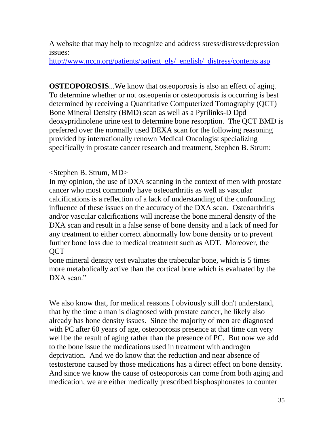A website that may help to recognize and address stress/distress/depression issues:

[http://www.nccn.org/patients/patient\\_gls/\\_english/\\_distress/contents.asp](http://www.nccn.org/patients/patient_gls/_english/_distress/contents.asp)

**OSTEOPOROSIS...** We know that osteoporosis is also an effect of aging. To determine whether or not osteopenia or osteoporosis is occurring is best determined by receiving a Quantitative Computerized Tomography (QCT) Bone Mineral Density (BMD) scan as well as a Pyrilinks-D Dpd deoxypridinolene urine test to determine bone resorption. The QCT BMD is preferred over the normally used DEXA scan for the following reasoning provided by internationally renown Medical Oncologist specializing specifically in prostate cancer research and treatment, Stephen B. Strum:

#### $\leq$ Stephen B. Strum, MD $>$

In my opinion, the use of DXA scanning in the context of men with prostate cancer who most commonly have osteoarthritis as well as vascular calcifications is a reflection of a lack of understanding of the confounding influence of these issues on the accuracy of the DXA scan. Osteoarthritis and/or vascular calcifications will increase the bone mineral density of the DXA scan and result in a false sense of bone density and a lack of need for any treatment to either correct abnormally low bone density or to prevent further bone loss due to medical treatment such as ADT. Moreover, the **OCT** 

bone mineral density test evaluates the trabecular bone, which is 5 times more metabolically active than the cortical bone which is evaluated by the DXA scan."

We also know that, for medical reasons I obviously still don't understand, that by the time a man is diagnosed with prostate cancer, he likely also already has bone density issues. Since the majority of men are diagnosed with PC after 60 years of age, osteoporosis presence at that time can very well be the result of aging rather than the presence of PC. But now we add to the bone issue the medications used in treatment with androgen deprivation. And we do know that the reduction and near absence of testosterone caused by those medications has a direct effect on bone density. And since we know the cause of osteoporosis can come from both aging and medication, we are either medically prescribed bisphosphonates to counter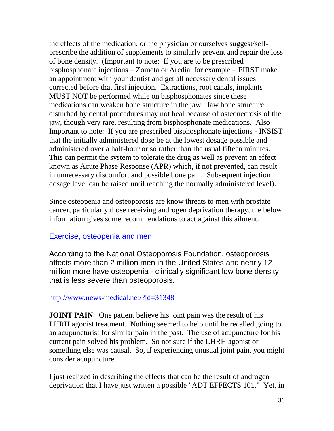the effects of the medication, or the physician or ourselves suggest/selfprescribe the addition of supplements to similarly prevent and repair the loss of bone density. (Important to note: If you are to be prescribed bisphosphonate injections – Zometa or Aredia, for example – FIRST make an appointment with your dentist and get all necessary dental issues corrected before that first injection. Extractions, root canals, implants MUST NOT be performed while on bisphosphonates since these medications can weaken bone structure in the jaw. Jaw bone structure disturbed by dental procedures may not heal because of osteonecrosis of the jaw, though very rare, resulting from bisphosphonate medications. Also Important to note: If you are prescribed bisphosphonate injections - INSIST that the initially administered dose be at the lowest dosage possible and administered over a half-hour or so rather than the usual fifteen minutes. This can permit the system to tolerate the drug as well as prevent an effect known as Acute Phase Response (APR) which, if not prevented, can result in unnecessary discomfort and possible bone pain. Subsequent injection dosage level can be raised until reaching the normally administered level).

Since osteopenia and osteoporosis are know threats to men with prostate cancer, particularly those receiving androgen deprivation therapy, the below information gives some recommendations to act against this ailment.

#### [Exercise, osteopenia and men](http://server1.streamsend.com/streamsend/clicktracker.php?cd=37721&ld=121&md=1082&ud=482a05ea6f1d3e7eadfeb560a75d9de9&url=http://www.news-medical.net/%3Fid=31348)

According to the National Osteoporosis Foundation, osteoporosis affects more than 2 million men in the United States and nearly 12 million more have osteopenia - clinically significant low bone density that is less severe than osteoporosis.

## <http://www.news-medical.net/?id=31348>

**JOINT PAIN:** One patient believe his joint pain was the result of his LHRH agonist treatment. Nothing seemed to help until he recalled going to an acupuncturist for similar pain in the past. The use of acupuncture for his current pain solved his problem. So not sure if the LHRH agonist or something else was causal. So, if experiencing unusual joint pain, you might consider acupuncture.

I just realized in describing the effects that can be the result of androgen deprivation that I have just written a possible "ADT EFFECTS 101." Yet, in